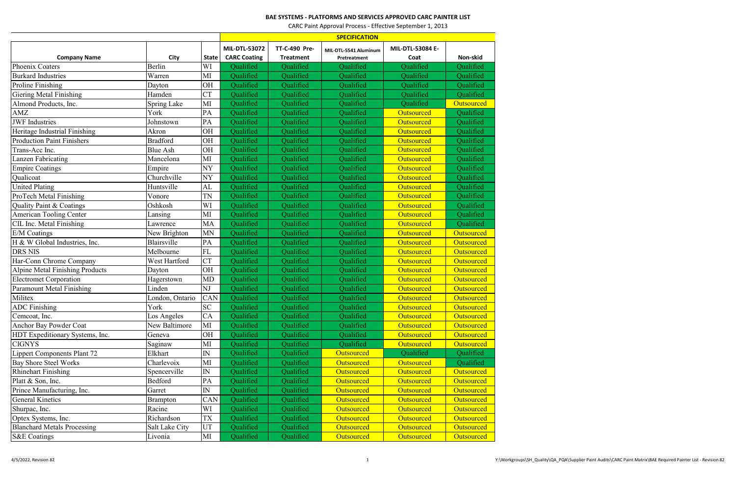## **BAE SYSTEMS - PLATFORMS AND SERVICES APPROVED CARC PAINTER LIST**

CARC Paint Approval Process - Effective September 1, 2013

| <b>MIL-DTL-53072</b><br>TT-C-490 Pre-<br><b>MIL-DTL-53084 E-</b><br>MIL-DTL-5541 Aluminum<br><b>CARC Coating</b><br><b>Company Name</b><br>City<br><b>Treatment</b><br>Non-skid<br><b>State</b><br>Pretreatment<br>Coat<br>Berlin<br>Phoenix Coaters<br>WI<br>Qualified<br>Qualified<br>Qualified<br>Qualified<br>Qualified<br>Warren<br>MI<br>Qualified<br>Qualified<br>Qualified<br>Qualified<br><b>Burkard Industries</b><br>Qualified<br>Proline Finishing<br>OH<br>Qualified<br>Dayton<br>Qualified<br>Qualified<br>Qualified<br>Qualified<br><b>CT</b><br><b>Giering Metal Finishing</b><br>Hamden<br>Qualified<br>Qualified<br>Qualified<br>Qualified<br>Qualified<br>Spring Lake<br>Qualified<br>Qualified<br>Qualified<br>Outsourced<br>Almond Products, Inc.<br>MI<br>Qualified<br>York<br>PA<br>Qualified<br>Qualified<br>Qualified<br>AMZ<br>Outsourced<br>Qualified<br>Qualified<br><b>JWF</b> Industries<br>PA<br>Qualified<br>Qualified<br>Qualified<br>Outsourced<br>Johnstown<br>Qualified<br>Qualified<br>Qualified<br>Heritage Industrial Finishing<br>OH<br>Outsourced<br>Qualified<br>Akron<br>Qualified<br>Qualified<br>Qualified<br><b>Production Paint Finishers</b><br><b>Bradford</b><br>Qualified<br>OH<br>Outsourced<br>Qualified<br>Qualified<br>Outsourced<br>Trans-Acc Inc.<br><b>Blue Ash</b><br>OH<br>Qualified<br>Qualified<br>Qualified<br>Qualified<br>MI<br>Qualified<br><b>Outsourced</b><br>Qualified<br>Lanzen Fabricating<br>Mancelona<br>Qualified<br>Empire<br><b>NY</b><br>Qualified<br>Qualified<br>Outsourced<br><b>Empire Coatings</b><br>Qualified<br>Churchville<br>NY<br>Oualified<br>Qualified<br>Qualicoat<br>Qualified<br>Outsourced<br>Qualified<br>Qualified<br>Qualified<br>Qualified<br>Qualified<br><b>United Plating</b><br>Huntsville<br>AL<br>Outsourced<br>ProTech Metal Finishing<br><b>TN</b><br>Qualified<br>Qualified<br>Qualified<br>Outsourced<br>Qualified<br>Vonore |  | <b>SPECIFICATION</b> |  |  |  |  |  |
|-------------------------------------------------------------------------------------------------------------------------------------------------------------------------------------------------------------------------------------------------------------------------------------------------------------------------------------------------------------------------------------------------------------------------------------------------------------------------------------------------------------------------------------------------------------------------------------------------------------------------------------------------------------------------------------------------------------------------------------------------------------------------------------------------------------------------------------------------------------------------------------------------------------------------------------------------------------------------------------------------------------------------------------------------------------------------------------------------------------------------------------------------------------------------------------------------------------------------------------------------------------------------------------------------------------------------------------------------------------------------------------------------------------------------------------------------------------------------------------------------------------------------------------------------------------------------------------------------------------------------------------------------------------------------------------------------------------------------------------------------------------------------------------------------------------------------------------------------------------------------------------------------------------------------------------------|--|----------------------|--|--|--|--|--|
|                                                                                                                                                                                                                                                                                                                                                                                                                                                                                                                                                                                                                                                                                                                                                                                                                                                                                                                                                                                                                                                                                                                                                                                                                                                                                                                                                                                                                                                                                                                                                                                                                                                                                                                                                                                                                                                                                                                                           |  |                      |  |  |  |  |  |
|                                                                                                                                                                                                                                                                                                                                                                                                                                                                                                                                                                                                                                                                                                                                                                                                                                                                                                                                                                                                                                                                                                                                                                                                                                                                                                                                                                                                                                                                                                                                                                                                                                                                                                                                                                                                                                                                                                                                           |  |                      |  |  |  |  |  |
|                                                                                                                                                                                                                                                                                                                                                                                                                                                                                                                                                                                                                                                                                                                                                                                                                                                                                                                                                                                                                                                                                                                                                                                                                                                                                                                                                                                                                                                                                                                                                                                                                                                                                                                                                                                                                                                                                                                                           |  |                      |  |  |  |  |  |
|                                                                                                                                                                                                                                                                                                                                                                                                                                                                                                                                                                                                                                                                                                                                                                                                                                                                                                                                                                                                                                                                                                                                                                                                                                                                                                                                                                                                                                                                                                                                                                                                                                                                                                                                                                                                                                                                                                                                           |  |                      |  |  |  |  |  |
|                                                                                                                                                                                                                                                                                                                                                                                                                                                                                                                                                                                                                                                                                                                                                                                                                                                                                                                                                                                                                                                                                                                                                                                                                                                                                                                                                                                                                                                                                                                                                                                                                                                                                                                                                                                                                                                                                                                                           |  |                      |  |  |  |  |  |
|                                                                                                                                                                                                                                                                                                                                                                                                                                                                                                                                                                                                                                                                                                                                                                                                                                                                                                                                                                                                                                                                                                                                                                                                                                                                                                                                                                                                                                                                                                                                                                                                                                                                                                                                                                                                                                                                                                                                           |  |                      |  |  |  |  |  |
|                                                                                                                                                                                                                                                                                                                                                                                                                                                                                                                                                                                                                                                                                                                                                                                                                                                                                                                                                                                                                                                                                                                                                                                                                                                                                                                                                                                                                                                                                                                                                                                                                                                                                                                                                                                                                                                                                                                                           |  |                      |  |  |  |  |  |
|                                                                                                                                                                                                                                                                                                                                                                                                                                                                                                                                                                                                                                                                                                                                                                                                                                                                                                                                                                                                                                                                                                                                                                                                                                                                                                                                                                                                                                                                                                                                                                                                                                                                                                                                                                                                                                                                                                                                           |  |                      |  |  |  |  |  |
|                                                                                                                                                                                                                                                                                                                                                                                                                                                                                                                                                                                                                                                                                                                                                                                                                                                                                                                                                                                                                                                                                                                                                                                                                                                                                                                                                                                                                                                                                                                                                                                                                                                                                                                                                                                                                                                                                                                                           |  |                      |  |  |  |  |  |
|                                                                                                                                                                                                                                                                                                                                                                                                                                                                                                                                                                                                                                                                                                                                                                                                                                                                                                                                                                                                                                                                                                                                                                                                                                                                                                                                                                                                                                                                                                                                                                                                                                                                                                                                                                                                                                                                                                                                           |  |                      |  |  |  |  |  |
|                                                                                                                                                                                                                                                                                                                                                                                                                                                                                                                                                                                                                                                                                                                                                                                                                                                                                                                                                                                                                                                                                                                                                                                                                                                                                                                                                                                                                                                                                                                                                                                                                                                                                                                                                                                                                                                                                                                                           |  |                      |  |  |  |  |  |
|                                                                                                                                                                                                                                                                                                                                                                                                                                                                                                                                                                                                                                                                                                                                                                                                                                                                                                                                                                                                                                                                                                                                                                                                                                                                                                                                                                                                                                                                                                                                                                                                                                                                                                                                                                                                                                                                                                                                           |  |                      |  |  |  |  |  |
|                                                                                                                                                                                                                                                                                                                                                                                                                                                                                                                                                                                                                                                                                                                                                                                                                                                                                                                                                                                                                                                                                                                                                                                                                                                                                                                                                                                                                                                                                                                                                                                                                                                                                                                                                                                                                                                                                                                                           |  |                      |  |  |  |  |  |
|                                                                                                                                                                                                                                                                                                                                                                                                                                                                                                                                                                                                                                                                                                                                                                                                                                                                                                                                                                                                                                                                                                                                                                                                                                                                                                                                                                                                                                                                                                                                                                                                                                                                                                                                                                                                                                                                                                                                           |  |                      |  |  |  |  |  |
|                                                                                                                                                                                                                                                                                                                                                                                                                                                                                                                                                                                                                                                                                                                                                                                                                                                                                                                                                                                                                                                                                                                                                                                                                                                                                                                                                                                                                                                                                                                                                                                                                                                                                                                                                                                                                                                                                                                                           |  |                      |  |  |  |  |  |
|                                                                                                                                                                                                                                                                                                                                                                                                                                                                                                                                                                                                                                                                                                                                                                                                                                                                                                                                                                                                                                                                                                                                                                                                                                                                                                                                                                                                                                                                                                                                                                                                                                                                                                                                                                                                                                                                                                                                           |  |                      |  |  |  |  |  |
|                                                                                                                                                                                                                                                                                                                                                                                                                                                                                                                                                                                                                                                                                                                                                                                                                                                                                                                                                                                                                                                                                                                                                                                                                                                                                                                                                                                                                                                                                                                                                                                                                                                                                                                                                                                                                                                                                                                                           |  |                      |  |  |  |  |  |
| Qualified<br>Quality Paint & Coatings<br>WI<br>Qualified<br>Qualified<br>Qualified<br>Oshkosh<br>Outsourced                                                                                                                                                                                                                                                                                                                                                                                                                                                                                                                                                                                                                                                                                                                                                                                                                                                                                                                                                                                                                                                                                                                                                                                                                                                                                                                                                                                                                                                                                                                                                                                                                                                                                                                                                                                                                               |  |                      |  |  |  |  |  |
| <b>American Tooling Center</b><br>Qualified<br>Outsourced<br>MI<br>Qualified<br>Qualified<br>Qualified<br>Lansing                                                                                                                                                                                                                                                                                                                                                                                                                                                                                                                                                                                                                                                                                                                                                                                                                                                                                                                                                                                                                                                                                                                                                                                                                                                                                                                                                                                                                                                                                                                                                                                                                                                                                                                                                                                                                         |  |                      |  |  |  |  |  |
| MA<br>Qualified<br>CIL Inc. Metal Finishing<br>Qualified<br>Qualified<br>Qualified<br>Outsourced<br>Lawrence                                                                                                                                                                                                                                                                                                                                                                                                                                                                                                                                                                                                                                                                                                                                                                                                                                                                                                                                                                                                                                                                                                                                                                                                                                                                                                                                                                                                                                                                                                                                                                                                                                                                                                                                                                                                                              |  |                      |  |  |  |  |  |
| <b>MN</b><br>Qualified<br>Qualified<br>Qualified<br>Outsourced<br>E/M Coatings<br>New Brighton<br>Outsourced                                                                                                                                                                                                                                                                                                                                                                                                                                                                                                                                                                                                                                                                                                                                                                                                                                                                                                                                                                                                                                                                                                                                                                                                                                                                                                                                                                                                                                                                                                                                                                                                                                                                                                                                                                                                                              |  |                      |  |  |  |  |  |
| PA<br>Blairsville<br>H & W Global Industries, Inc.<br>Qualified<br>Qualified<br>Qualified<br>Outsourced<br>Outsourced                                                                                                                                                                                                                                                                                                                                                                                                                                                                                                                                                                                                                                                                                                                                                                                                                                                                                                                                                                                                                                                                                                                                                                                                                                                                                                                                                                                                                                                                                                                                                                                                                                                                                                                                                                                                                     |  |                      |  |  |  |  |  |
| <b>FL</b><br><b>DRS NIS</b><br>Melbourne<br>Qualified<br>Qualified<br>Qualified<br>Outsourced<br>Outsourced                                                                                                                                                                                                                                                                                                                                                                                                                                                                                                                                                                                                                                                                                                                                                                                                                                                                                                                                                                                                                                                                                                                                                                                                                                                                                                                                                                                                                                                                                                                                                                                                                                                                                                                                                                                                                               |  |                      |  |  |  |  |  |
| <b>CT</b><br>Qualified<br>Har-Conn Chrome Company<br>West Hartford<br>Qualified<br>Qualified<br>Outsourced<br>Outsourced                                                                                                                                                                                                                                                                                                                                                                                                                                                                                                                                                                                                                                                                                                                                                                                                                                                                                                                                                                                                                                                                                                                                                                                                                                                                                                                                                                                                                                                                                                                                                                                                                                                                                                                                                                                                                  |  |                      |  |  |  |  |  |
| Alpine Metal Finishing Products<br>Qualified<br>OH<br>Qualified<br>Qualified<br>Outsourced<br>Outsourced<br>Dayton                                                                                                                                                                                                                                                                                                                                                                                                                                                                                                                                                                                                                                                                                                                                                                                                                                                                                                                                                                                                                                                                                                                                                                                                                                                                                                                                                                                                                                                                                                                                                                                                                                                                                                                                                                                                                        |  |                      |  |  |  |  |  |
| <b>Electromet Corporation</b><br><b>MD</b><br>Hagerstown<br>Qualified<br>Qualified<br>Qualified<br>Outsourced<br>Outsourced                                                                                                                                                                                                                                                                                                                                                                                                                                                                                                                                                                                                                                                                                                                                                                                                                                                                                                                                                                                                                                                                                                                                                                                                                                                                                                                                                                                                                                                                                                                                                                                                                                                                                                                                                                                                               |  |                      |  |  |  |  |  |
| Paramount Metal Finishing<br>Linden<br>NJ<br>Qualified<br>Qualified<br>Qualified<br>Outsourced<br>Outsourced                                                                                                                                                                                                                                                                                                                                                                                                                                                                                                                                                                                                                                                                                                                                                                                                                                                                                                                                                                                                                                                                                                                                                                                                                                                                                                                                                                                                                                                                                                                                                                                                                                                                                                                                                                                                                              |  |                      |  |  |  |  |  |
| Militex<br>London, Ontario<br>CAN<br>Qualified<br>Qualified<br>Qualified<br>Outsourced<br>Outsourced                                                                                                                                                                                                                                                                                                                                                                                                                                                                                                                                                                                                                                                                                                                                                                                                                                                                                                                                                                                                                                                                                                                                                                                                                                                                                                                                                                                                                                                                                                                                                                                                                                                                                                                                                                                                                                      |  |                      |  |  |  |  |  |
| ${\rm SC}$<br>York<br>Qualified<br>Outsourced<br><b>ADC</b> Finishing<br>Qualified<br>Qualified<br>Outsourced                                                                                                                                                                                                                                                                                                                                                                                                                                                                                                                                                                                                                                                                                                                                                                                                                                                                                                                                                                                                                                                                                                                                                                                                                                                                                                                                                                                                                                                                                                                                                                                                                                                                                                                                                                                                                             |  |                      |  |  |  |  |  |
| CA<br>Qualified<br>Qualified<br>Outsourced<br>Cemcoat, Inc.<br>Los Angeles<br>Qualified<br><b>Outsourced</b>                                                                                                                                                                                                                                                                                                                                                                                                                                                                                                                                                                                                                                                                                                                                                                                                                                                                                                                                                                                                                                                                                                                                                                                                                                                                                                                                                                                                                                                                                                                                                                                                                                                                                                                                                                                                                              |  |                      |  |  |  |  |  |
| <b>Anchor Bay Powder Coat</b><br>Qualified<br>Qualified<br>New Baltimore<br>MI<br>Qualified<br>Outsourced<br><b>Outsourced</b>                                                                                                                                                                                                                                                                                                                                                                                                                                                                                                                                                                                                                                                                                                                                                                                                                                                                                                                                                                                                                                                                                                                                                                                                                                                                                                                                                                                                                                                                                                                                                                                                                                                                                                                                                                                                            |  |                      |  |  |  |  |  |
| HDT Expeditionary Systems, Inc.<br>Geneva<br>OH<br>Qualified<br>Qualified<br>Qualified<br>Outsourced<br><b>Outsourced</b>                                                                                                                                                                                                                                                                                                                                                                                                                                                                                                                                                                                                                                                                                                                                                                                                                                                                                                                                                                                                                                                                                                                                                                                                                                                                                                                                                                                                                                                                                                                                                                                                                                                                                                                                                                                                                 |  |                      |  |  |  |  |  |
| Qualified<br>Qualified<br><b>CIGNYS</b><br>Saginaw<br>MI<br>Qualified<br><b>Outsourced</b><br><b>Outsourced</b>                                                                                                                                                                                                                                                                                                                                                                                                                                                                                                                                                                                                                                                                                                                                                                                                                                                                                                                                                                                                                                                                                                                                                                                                                                                                                                                                                                                                                                                                                                                                                                                                                                                                                                                                                                                                                           |  |                      |  |  |  |  |  |
| Qualified<br>Qualified<br>Outsourced<br>Qualified<br>${\rm IN}$<br>Qualified<br><b>Lippert Components Plant 72</b><br>Elkhart                                                                                                                                                                                                                                                                                                                                                                                                                                                                                                                                                                                                                                                                                                                                                                                                                                                                                                                                                                                                                                                                                                                                                                                                                                                                                                                                                                                                                                                                                                                                                                                                                                                                                                                                                                                                             |  |                      |  |  |  |  |  |
| Bay Shore Steel Works<br>Charlevoix<br>MI<br>Qualified<br>Qualified<br><b>Outsourced</b><br><b>Outsourced</b><br>Qualified                                                                                                                                                                                                                                                                                                                                                                                                                                                                                                                                                                                                                                                                                                                                                                                                                                                                                                                                                                                                                                                                                                                                                                                                                                                                                                                                                                                                                                                                                                                                                                                                                                                                                                                                                                                                                |  |                      |  |  |  |  |  |
| Qualified<br>IN<br>Qualified<br>Outsourced<br>Outsourced<br><b>Outsourced</b><br><b>Rhinehart Finishing</b><br>Spencerville                                                                                                                                                                                                                                                                                                                                                                                                                                                                                                                                                                                                                                                                                                                                                                                                                                                                                                                                                                                                                                                                                                                                                                                                                                                                                                                                                                                                                                                                                                                                                                                                                                                                                                                                                                                                               |  |                      |  |  |  |  |  |
| Qualified<br>Outsourced<br>Outsourced<br>Qualified<br><b>Outsourced</b><br>Platt & Son, Inc.<br>Bedford<br>PA                                                                                                                                                                                                                                                                                                                                                                                                                                                                                                                                                                                                                                                                                                                                                                                                                                                                                                                                                                                                                                                                                                                                                                                                                                                                                                                                                                                                                                                                                                                                                                                                                                                                                                                                                                                                                             |  |                      |  |  |  |  |  |
| ${\rm IN}$<br>Qualified<br>Qualified<br>Outsourced<br>Outsourced<br>Outsourced<br>Prince Manufacturing, Inc.<br>Garret                                                                                                                                                                                                                                                                                                                                                                                                                                                                                                                                                                                                                                                                                                                                                                                                                                                                                                                                                                                                                                                                                                                                                                                                                                                                                                                                                                                                                                                                                                                                                                                                                                                                                                                                                                                                                    |  |                      |  |  |  |  |  |
| <b>General Kinetics</b><br><b>CAN</b><br>Qualified<br>Qualified<br>Outsourced<br>Outsourced<br><b>Outsourced</b><br>Brampton                                                                                                                                                                                                                                                                                                                                                                                                                                                                                                                                                                                                                                                                                                                                                                                                                                                                                                                                                                                                                                                                                                                                                                                                                                                                                                                                                                                                                                                                                                                                                                                                                                                                                                                                                                                                              |  |                      |  |  |  |  |  |
| Racine<br>WI<br>Qualified<br>Outsourced<br>Shurpac, Inc.<br>Qualified<br>Outsourced<br><b>Outsourced</b>                                                                                                                                                                                                                                                                                                                                                                                                                                                                                                                                                                                                                                                                                                                                                                                                                                                                                                                                                                                                                                                                                                                                                                                                                                                                                                                                                                                                                                                                                                                                                                                                                                                                                                                                                                                                                                  |  |                      |  |  |  |  |  |
| <b>TX</b><br>Richardson<br>Qualified<br>Optex Systems, Inc.<br>Qualified<br>Outsourced<br>Outsourced<br>Outsourced                                                                                                                                                                                                                                                                                                                                                                                                                                                                                                                                                                                                                                                                                                                                                                                                                                                                                                                                                                                                                                                                                                                                                                                                                                                                                                                                                                                                                                                                                                                                                                                                                                                                                                                                                                                                                        |  |                      |  |  |  |  |  |
| <b>Blanchard Metals Processing</b><br><b>UT</b><br>Salt Lake City<br>Qualified<br><b>Outsourced</b><br><b>Outsourced</b><br><b>Outsourced</b><br>Qualified                                                                                                                                                                                                                                                                                                                                                                                                                                                                                                                                                                                                                                                                                                                                                                                                                                                                                                                                                                                                                                                                                                                                                                                                                                                                                                                                                                                                                                                                                                                                                                                                                                                                                                                                                                                |  |                      |  |  |  |  |  |
| Livonia<br>MI<br><b>S&amp;E</b> Coatings<br>Qualified<br>Qualified<br>Outsourced<br>Outsourced<br>Outsourced                                                                                                                                                                                                                                                                                                                                                                                                                                                                                                                                                                                                                                                                                                                                                                                                                                                                                                                                                                                                                                                                                                                                                                                                                                                                                                                                                                                                                                                                                                                                                                                                                                                                                                                                                                                                                              |  |                      |  |  |  |  |  |

4/5/2022, Revision 82 **Parameter 2023** Y:\Workgroups\SH\_Quality\QA\_PQA\Supplier Paint Audits\CARC Paint Matrix\BAE Required Painter List - Revision 82